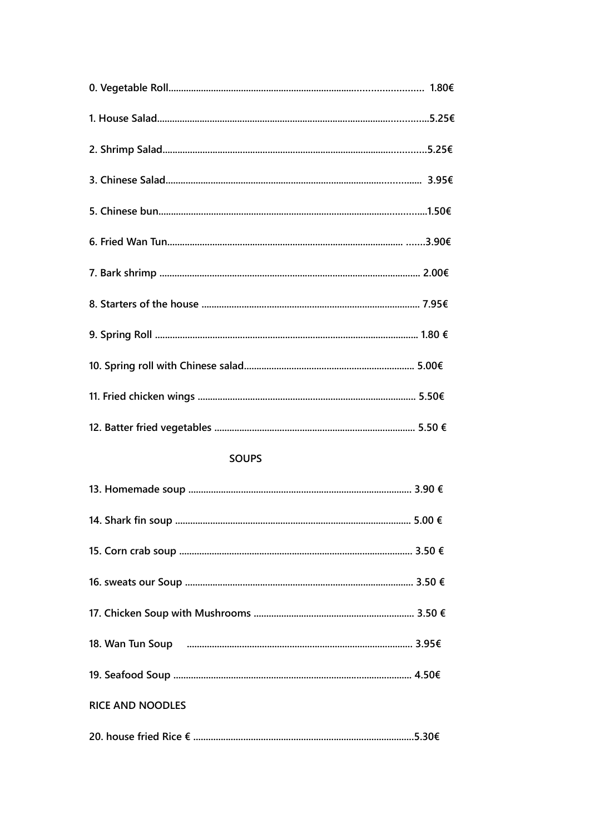### **SOUPS**

| <b>RICE AND NOODLES</b> |  |
|-------------------------|--|
|                         |  |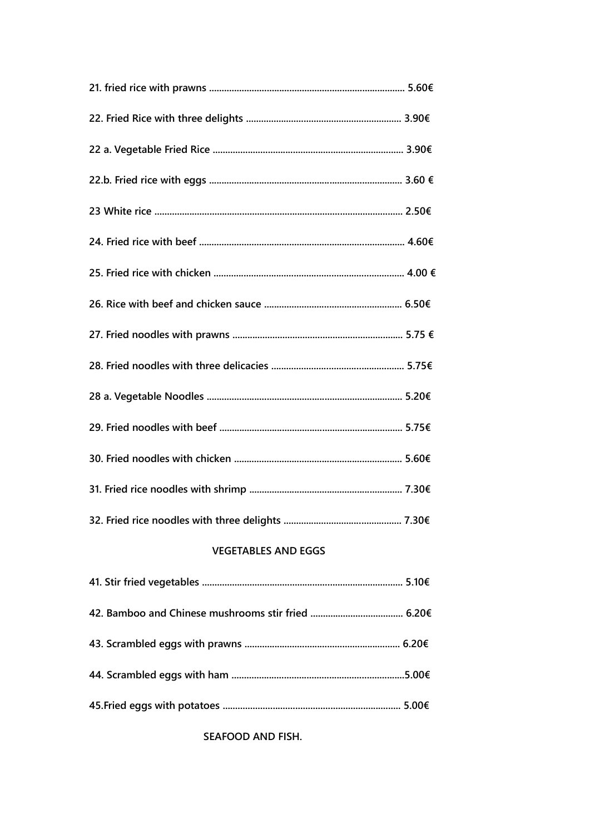# **VEGETABLES AND EGGS**

SEAFOOD AND FISH.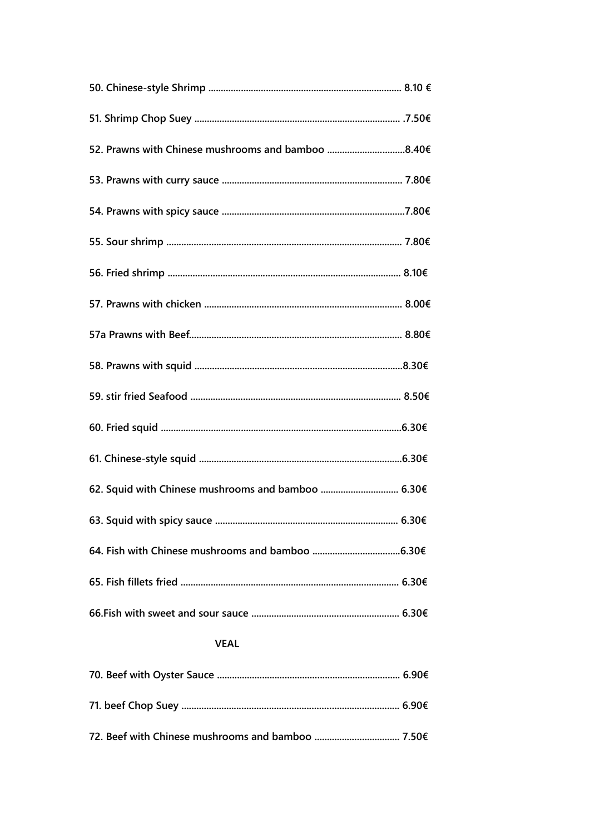### **VEAL**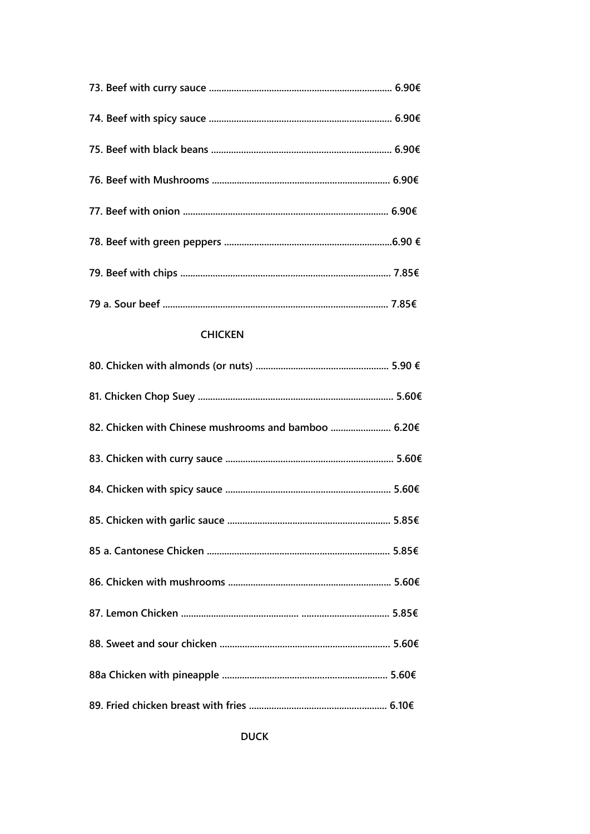## **CHICKEN**

| 82. Chicken with Chinese mushrooms and bamboo  6.20€ |  |
|------------------------------------------------------|--|
|                                                      |  |
|                                                      |  |
|                                                      |  |
|                                                      |  |
|                                                      |  |
|                                                      |  |
|                                                      |  |
|                                                      |  |
|                                                      |  |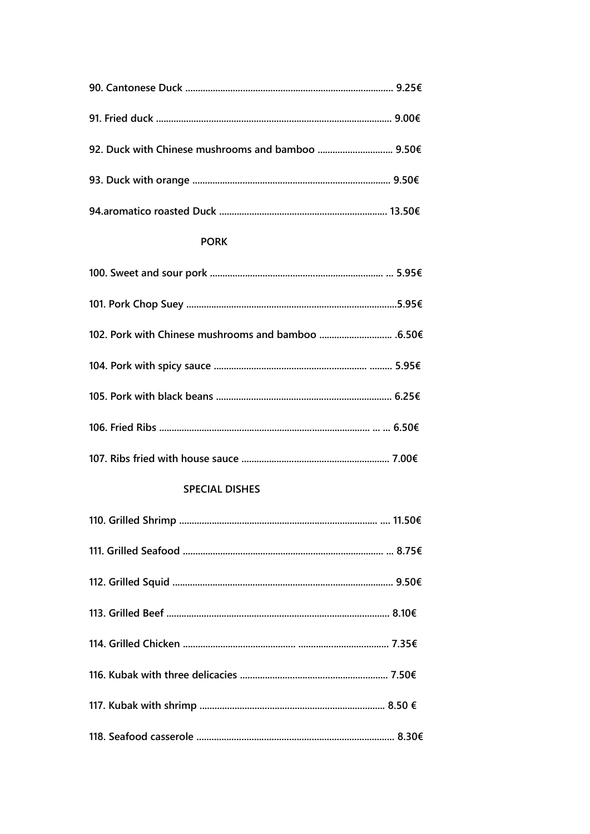| 92. Duck with Chinese mushrooms and bamboo  9.50€ |  |
|---------------------------------------------------|--|
|                                                   |  |
|                                                   |  |

# **PORK**

## **SPECIAL DISHES**